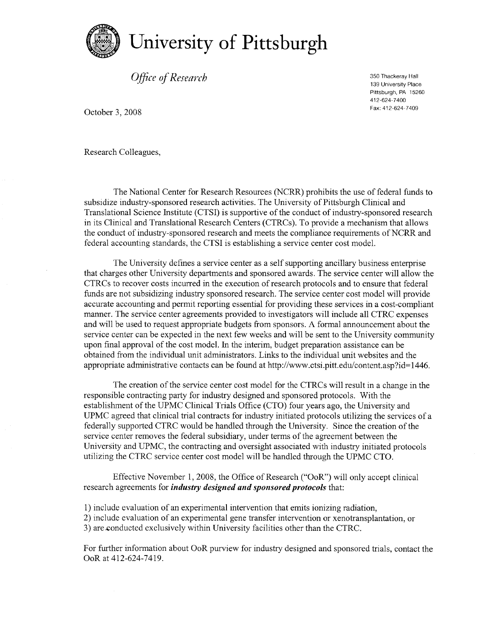

*Office* of Research

350 Thackeray Hall 139 University Place Pittsburgh, PA 15260 412-624-7400 Fax: 412-624-7409

October 3, 2008

Research Colleagues,

The National Center for Research Resources (NCRR) prohibits the use of federal funds to subsidize industry-sponsored research activities. The University of Pittsburgh Clinical and Translational Science Institute (CTSI) is supportive ofthe conduct of industry-sponsored research in its Clinical and Translational Research Centers (CTRCs). To provide a mechanism that allows the conduct of industry-sponsored research and meets the compliance requirements of NCRR and federal accounting standards, the CTSI is establishing a service center cost model.

The University defines a service center as a self supporting ancillary business enterprise that charges other University departments and sponsored awards, The service center will allow the CTRCs to recover costs incurred in the execution ofresearch protocols and to ensure that federal funds are not subsidizing industry sponsored research. The service center cost model will provide accurate accounting and permit reporting essential for providing these services in a cost-compliant manner. The service center agreements provided to investigators will include all CTRC expenses and will be used to request appropriate budgets from sponsors. A formal announcement about the service center can be expected in the next few weeks and will be sent to the University community upon final approval of the cost model. In the interim, budget preparation assistance can be obtained from the individual unit administrators, Links to the individual unit websites and the appropriate administrative contacts can be found at http://www.ctsi.pitt.edu/content.asp?id=1446.

The creation ofthe service center cost model for the CTRCs will result in a change in the responsible contracting party for industry designed and sponsored protocols. With the establishment of the UPMC Clinical Trials Office (CTO) four years ago, the University and UPMC agreed that clinical trial contracts for industry initiated protocols utilizing the services of a federally supported CTRC would be handled through the University. Since the creation of the service center removes the federal subsidiary, under terms of the agreement between the University and UPMC, the contracting and oversight associated with industry initiated protocols utilizing the CTRC service center cost model will be handled through the UPMC CTO.

Effective November 1, 2008, the Office of Research ("OoR") will only accept clinical research agreements for *industry designed and sponsored protocols* that:

1) include evaluation of an experimental intervention that emits ionizing radiation,

2) include evaluation of an experimental gene transfer intervention or xenotransplantation, or 3) are.conducted exclusively within University facilities other than the CTRC.

For further information about OoR purview for industry designed and sponsored trials, contact the OoR at 412-624-7419.